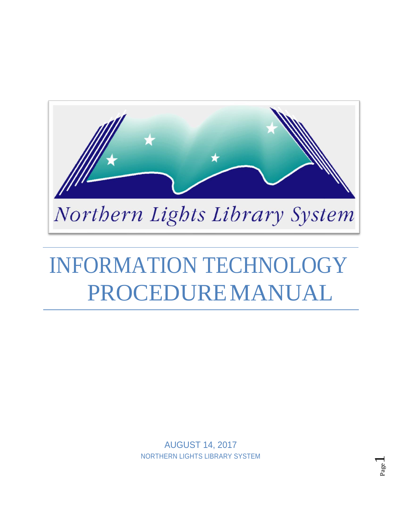

# INFORMATION TECHNOLOGY PROCEDUREMANUAL

AUGUST 14, 2017 NORTHERN LIGHTS LIBRARY SYSTEM

Page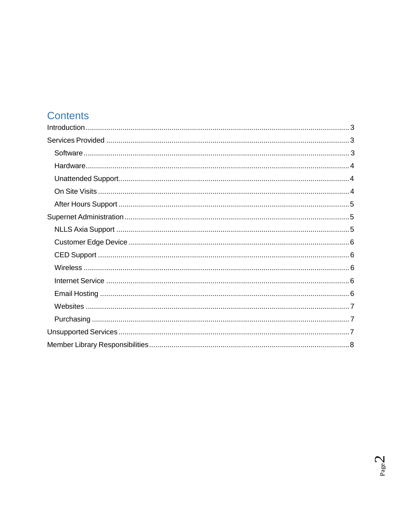# **Contents**

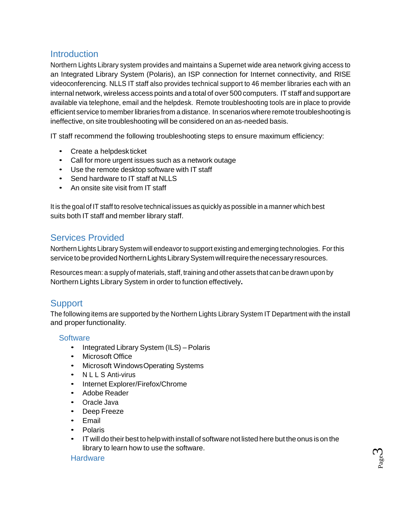## <span id="page-2-0"></span>**Introduction**

Northern Lights Library system provides and maintains a Supernet wide area network giving access to an Integrated Library System (Polaris), an ISP connection for Internet connectivity, and RISE videoconferencing. NLLS IT staff also provides technical support to 46 member libraries each with an internal network, wireless access points and a total of over 500 computers. IT staff and support are available via telephone, email and the helpdesk. Remote troubleshooting tools are in place to provide efficient service tomemberlibraries from a distance. In scenarios where remote troubleshooting is ineffective, on site troubleshooting will be considered on an as-needed basis.

IT staff recommend the following troubleshooting steps to ensure maximum efficiency:

- Create a helpdeskticket
- Call for more urgent issues such as a network outage
- Use the remote desktop software with IT staff
- Send hardware to IT staff at NLLS
- An onsite site visit from IT staff

It is the goal of IT staff to resolve technical issues as quickly as possible in a manner which best suits both IT staff and member library staff.

## <span id="page-2-1"></span>Services Provided

Northern Lights Library System will endeavorto support existing and emerging technologies. For this service to be provided Northern Lights Library System will require the necessary resources.

Resources mean: a supply of materials, staff, training and other assets that can be drawn upon by Northern Lights Library System in order to function effectively**.**

## **Support**

<span id="page-2-2"></span>The following items are supported by the Northern Lights Library System IT Department with the install and proper functionality.

#### **Software**

- Integrated Library System (ILS) Polaris
- Microsoft Office
- Microsoft WindowsOperating Systems
- N L L S Anti-virus
- Internet Explorer/Firefox/Chrome
- Adobe Reader
- Oracle Java
- Deep Freeze
- Email
- Polaris
- IT will do their best to help with install of software not listed here but the onus is on the library to learn how to use the software.

#### <span id="page-2-3"></span>**Hardware**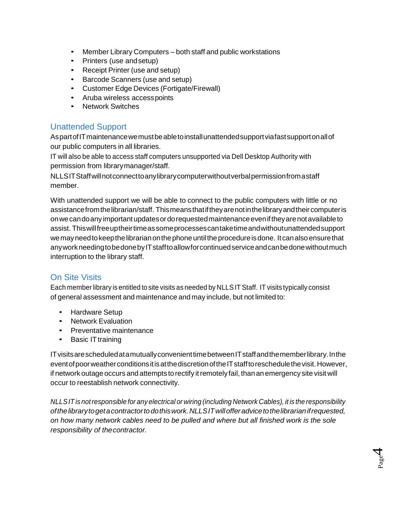- Member Library Computers both staff and public workstations
- Printers (use andsetup)
- Receipt Printer (use and setup)
- Barcode Scanners (use and setup)
- Customer Edge Devices (Fortigate/Firewall)
- Aruba wireless accesspoints
- Network Switches

## <span id="page-3-0"></span>Unattended Support

AspartofITmaintenancewemustbeabletoinstallunattendedsupportviafastsupportonallof our public computers in all libraries.

IT will also be able to access staff computers unsupported via Dell Desktop Authority with permission from librarymanager/staff.

NLLSITStaffwillnotconnecttoanylibrarycomputerwithoutverbalpermissionfromastaff member.

With unattended support we will be able to connect to the public computers with little or no assistancefromthelibrarian/staff. Thismeansthatiftheyarenotinthelibraryandtheircomputeris onwecandoanyimportantupdatesordorequestedmaintenanceeveniftheyarenotavailableto assist. Thiswillfreeuptheirtimeassomeprocessescantaketimeandwithoutunattendedsupport wemayneedtokeepthelibrarianonthephoneuntiltheprocedureisdone. Itcanalsoensurethat anyworkneedingtobedonebyITstafftoallowforcontinuedserviceandcanbedonewithoutmuch interruption to the library staff.

#### <span id="page-3-1"></span>On Site Visits

Each member library is entitled to site visits as needed by NLLSIT Staff. IT visits typically consist of general assessment and maintenance and may include, but not limited to:

- Hardware Setup
- Network Evaluation
- Preventative maintenance
- Basic IT training

IT visits are scheduled at a mutually convenient time between IT staff and the member library. In the event of poor weather conditions it is at the discretion of the IT staff to reschedule the visit. However, if network outage occurs and attempts to rectify it remotely fail, than an emergency site visit will occur to reestablish network connectivity.

*NLLSIT is notresponsible for any electrical or wiring (including Network Cables), it is the responsibility ofthelibrarytogetacontractortodothiswork.NLLSITwillofferadvicetothelibrarianifrequested, on how many network cables need to be pulled and where but all finished work is the sole responsibility of thecontractor.*

 $\rm P_{\rm age}$ 4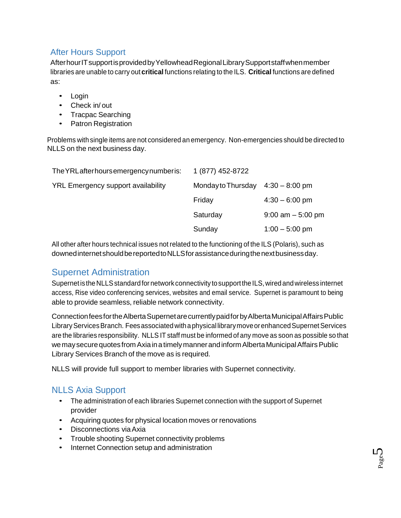## <span id="page-4-0"></span>After Hours Support

AfterhourITsupportisprovidedbyYellowheadRegionalLibrarySupportstaffwhenmember libraries are unable to carry out **critical** functions relating to the ILS. **Critical** functions are defined as:

- Login
- Check in/ out
- Tracpac Searching
- Patron Registration

Problems with single items are not considered an emergency. Non-emergencies should be directed to NLLS on the next business day.

| The YRL after hours emergency number is:  | 1 (877) 452-8722                    |                      |
|-------------------------------------------|-------------------------------------|----------------------|
| <b>YRL Emergency support availability</b> | Monday to Thursday $4:30 - 8:00$ pm |                      |
|                                           | Friday                              | $4:30 - 6:00$ pm     |
|                                           | Saturday                            | $9:00$ am $-5:00$ pm |
|                                           | Sunday                              | $1:00 - 5:00$ pm     |

All other after hours technical issues not related to the functioning of the ILS (Polaris), such as downedinternetshouldbereportedtoNLLSforassistanceduringthenextbusinessday.

## <span id="page-4-1"></span>Supernet Administration

Supernet is the NLLS standard for network connectivity to support the ILS, wired and wireless internet access, Rise video conferencing services, websites and email service. Supernet is paramount to being able to provide seamless, reliable network connectivity.

ConnectionfeesfortheAlbertaSupernetarecurrentlypaidforbyAlbertaMunicipalAffairsPublic Library Services Branch. Fees associated with a physical library move or enhanced Supernet Services are the libraries responsibility. NLLS IT staff must be informed of any move as soon as possible so that we may secure quotes from Axia in a timely manner and inform Alberta Municipal Affairs Public Library Services Branch of the move as is required.

NLLS will provide full support to member libraries with Supernet connectivity.

## <span id="page-4-2"></span>NLLS Axia Support

- The administration of each libraries Supernet connection with the support of Supernet provider
- Acquiring quotes for physical location moves or renovations
- Disconnections viaAxia
- Trouble shooting Supernet connectivity problems
- Internet Connection setup and administration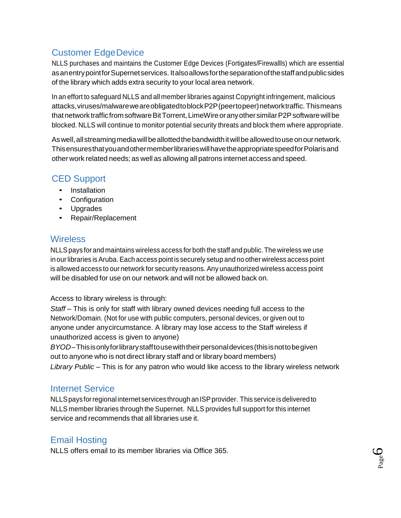## <span id="page-5-0"></span>Customer EdgeDevice

NLLS purchases and maintains the Customer Edge Devices (Fortigates/Firewallls) which are essential asanentrypointforSupernetservices. Italsoallowsfortheseparationofthestaffandpublicsides of the library which adds extra security to your local area network.

In an effort to safeguard NLLS and all member libraries against Copyright infringement, malicious attacks,viruses/malwareweareobligatedtoblockP2P(peertopeer)networktraffic. Thismeans that network traffic from software Bit Torrent, LimeWire or any other similar P2P software will be blocked. NLLS will continue to monitor potential security threats and block them where appropriate.

As well, all streaming media will be allotted the bandwidth it will be allowed to use on our network. ThisensuresthatyouandothermemberlibrarieswillhavetheappropriatespeedforPolarisand other work related needs; as well as allowing all patrons internet access and speed.

## <span id="page-5-1"></span>CED Support

- Installation
- Configuration
- Upgrades
- Repair/Replacement

## <span id="page-5-2"></span>**Wireless**

NLLSpays for and maintains wireless access for both the staff and public. The wireless we use in ourlibraries is Aruba. Each access point is securely setup and no other wireless access point is allowed access to our network for security reasons. Any unauthorized wireless access point will be disabled for use on our network and will not be allowed back on.

#### Access to library wireless is through:

Staff – This is only for staff with library owned devices needing full access to the Network/Domain. (Not for use with public computers, personal devices, or given out to anyone under anycircumstance. A library may lose access to the Staff wireless if unauthorized access is given to anyone)

*BYOD*–Thisisonlyforlibrarystafftousewiththeirpersonaldevices(thisisnottobegiven out to anyone who is not direct library staff and or library board members) *Library Public* – This is for any patron who would like access to the library wireless network

## <span id="page-5-3"></span>Internet Service

NLLSpays forregional internet services through anISPprovider. This service is delivered to NLLS member libraries through the Supernet. NLLS provides full support for this internet service and recommends that all libraries use it.

## <span id="page-5-4"></span>Email Hosting

NLLS offers email to its member libraries via Office 365.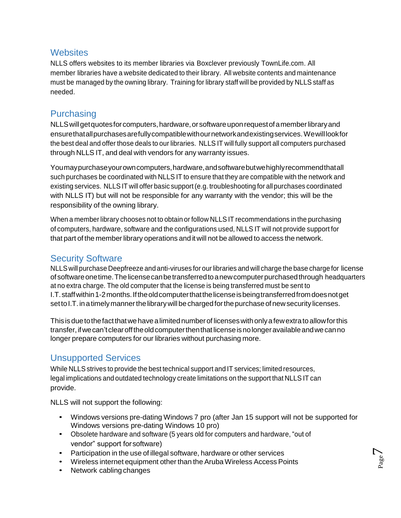## <span id="page-6-0"></span>**Websites**

NLLS offers websites to its member libraries via Boxclever previously TownLife.com. All member libraries have a website dedicated to their library. All website contents and maintenance must be managed by the owning library. Training for library staff will be provided by NLLS staff as needed.

## <span id="page-6-1"></span>**Purchasing**

NLLS will get quotes for computers, hardware, or software upon request of a member library and ensurethatallpurchasesarefullycompatiblewithournetworkandexistingservices.Wewilllookfor the best deal and offer those deals to our libraries. NLLS IT will fully support all computers purchased through NLLS IT, and deal with vendors for any warranty issues.

Youmaypurchaseyourowncomputers,hardware,andsoftwarebutwehighlyrecommendthatall such purchases be coordinated with NLLS IT to ensure that they are compatible with the network and existing services. NLLSIT will offer basic support (e.g. troubleshooting for all purchases coordinated with NLLS IT) but will not be responsible for any warranty with the vendor; this will be the responsibility of the owning library.

When a member library chooses not to obtain or follow NLLS IT recommendations in the purchasing of computers, hardware, software and the configurations used, NLLS IT will not provide support for that part of the member library operations and it will not be allowed to access the network.

## Security Software

NLLS will purchase Deepfreeze and anti-viruses for ourlibraries and will charge the base charge for license of software one time. The license can be transferred to a new computer purchased through headquarters at no extra charge. The old computer that the license is being transferred must be sent to I.T.staffwithin1-2months.Iftheoldcomputerthatthelicenseisbeingtransferredfromdoesnotget set to I.T. in a timely manner the library will be charged for the purchase of new security licenses.

This is due to the fact that we have a limited number of licenses with only a few extra to allow for this transfer,ifwecan'tclearofftheoldcomputerthenthatlicenseisnolongeravailableandwecanno longer prepare computers for our libraries without purchasing more.

## <span id="page-6-2"></span>Unsupported Services

While NLLS strives to provide the best technical support and IT services; limited resources, legal implications and outdated technology create limitations on the support that NLLS IT can provide.

NLLS will not support the following:

• Windows versions pre-dating Windows 7 pro (after Jan 15 support will not be supported for Windows versions pre-dating Windows 10 pro)

 $P_{\text{age}}$ 7

- Obsolete hardware and software (5 years old for computers and hardware, "out of vendor" support forsoftware)
- Participation in the use of illegal software, hardware or other services
- Wireless internet equipment other than the Aruba Wireless Access Points
- Network cabling changes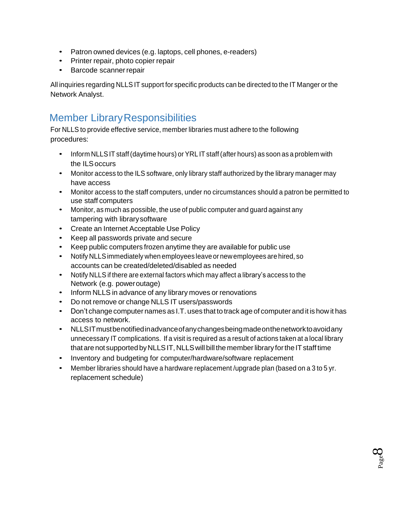- Patron owned devices (e.g. laptops, cell phones, e-readers)
- Printer repair, photo copier repair
- Barcode scannerrepair

All inquiries regarding NLLS IT support for specific products can be directed to the IT Manger or the Network Analyst.

# <span id="page-7-0"></span>**Member Library Responsibilities**

For NLLS to provide effective service, member libraries must adhere to the following procedures:

- Inform NLLSIT staff(daytime hours) or YRL IT staff(after hours) as soon as a problem with the ILSoccurs
- Monitor access to the ILS software, only library staff authorized by the library manager may have access
- Monitor access to the staff computers, under no circumstances should a patron be permitted to use staff computers
- Monitor, as much as possible, the use of public computer and guard against any tampering with librarysoftware
- Create an Internet Acceptable Use Policy
- Keep all passwords private and secure
- Keep public computers frozen anytime they are available for public use
- Notify NLLSimmediately when employees leave or newemployees are hired, so accounts can be created/deleted/disabled as needed
- Notify NLLS if there are external factors which may affect a library's access to the Network (e.g. poweroutage)
- Inform NLLS in advance of any library moves or renovations
- Do not remove or change NLLS IT users/passwords
- Don't change computer names as I.T. uses that to track age of computer and it is how it has access to network.
- NLLSITmustbenotifiedinadvanceofanychangesbeingmadeonthenetworktoavoidany unnecessary IT complications. If a visit is required as a result of actions taken at a local library that are not supported by NLLS IT, NLLS will bill the member library for the IT staff time
- Inventory and budgeting for computer/hardware/software replacement
- Member libraries should have a hardware replacement /upgrade plan (based on a 3 to 5 yr. replacement schedule)

 $\rm S_{\rm age}$